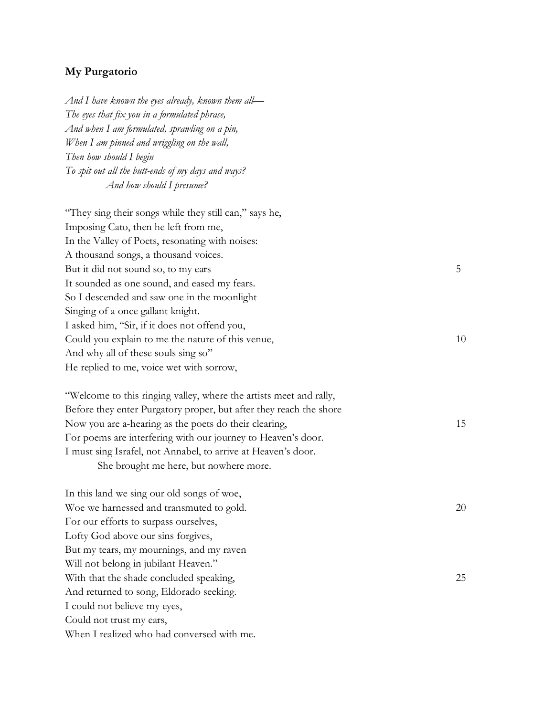## **My Purgatorio**

*And I have known the eyes already, known them all— The eyes that fix you in a formulated phrase, And when I am formulated, sprawling on a pin, When I am pinned and wriggling on the wall, Then how should I begin To spit out all the butt-ends of my days and ways? And how should I presume?*

| "They sing their songs while they still can," says he, |    |
|--------------------------------------------------------|----|
| Imposing Cato, then he left from me,                   |    |
| In the Valley of Poets, resonating with noises:        |    |
| A thousand songs, a thousand voices.                   |    |
| But it did not sound so, to my ears                    | 5. |
| It sounded as one sound, and eased my fears.           |    |
| So I descended and saw one in the moonlight            |    |
| Singing of a once gallant knight.                      |    |
| I asked him, "Sir, if it does not offend you,          |    |
| Could you explain to me the nature of this venue,      | 10 |
| And why all of these souls sing so"                    |    |
| He replied to me, voice wet with sorrow,               |    |
|                                                        |    |

"Welcome to this ringing valley, where the artists meet and rally, Before they enter Purgatory proper, but after they reach the shore Now you are a-hearing as the poets do their clearing, 15 For poems are interfering with our journey to Heaven's door. I must sing Israfel, not Annabel, to arrive at Heaven's door. She brought me here, but nowhere more.

In this land we sing our old songs of woe, Woe we harnessed and transmuted to gold. 20 For our efforts to surpass ourselves, Lofty God above our sins forgives, But my tears, my mournings, and my raven Will not belong in jubilant Heaven." With that the shade concluded speaking, 25 And returned to song, Eldorado seeking. I could not believe my eyes, Could not trust my ears, When I realized who had conversed with me.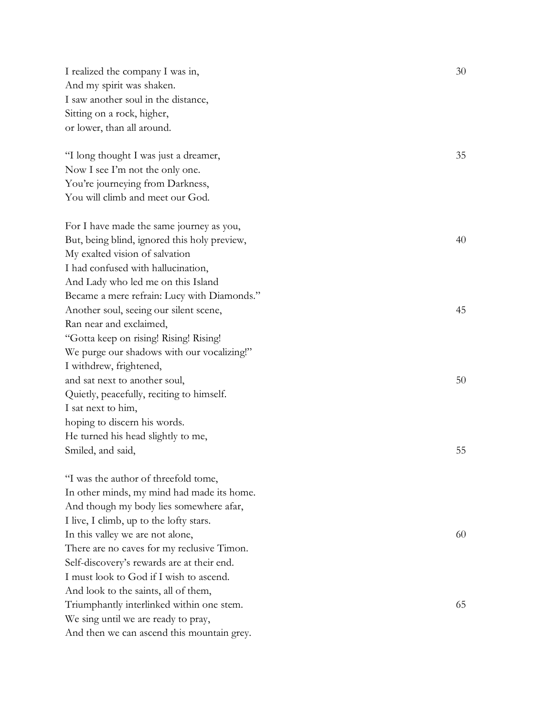I realized the company I was in,  $30$ And my spirit was shaken. I saw another soul in the distance, Sitting on a rock, higher, or lower, than all around.

"I long thought I was just a dreamer, 35 Now I see I'm not the only one. You're journeying from Darkness, You will climb and meet our God.

For I have made the same journey as you, But, being blind, ignored this holy preview,  $40$ My exalted vision of salvation I had confused with hallucination, And Lady who led me on this Island Became a mere refrain: Lucy with Diamonds." Another soul, seeing our silent scene, 45 Ran near and exclaimed, "Gotta keep on rising! Rising! Rising! We purge our shadows with our vocalizing!" I withdrew, frightened, and sat next to another soul,  $50$ Quietly, peacefully, reciting to himself. I sat next to him, hoping to discern his words. He turned his head slightly to me, Smiled, and said, 55

"I was the author of threefold tome, In other minds, my mind had made its home. And though my body lies somewhere afar, I live, I climb, up to the lofty stars. In this valley we are not alone, 60 There are no caves for my reclusive Timon. Self-discovery's rewards are at their end. I must look to God if I wish to ascend. And look to the saints, all of them, Triumphantly interlinked within one stem. 65 We sing until we are ready to pray, And then we can ascend this mountain grey.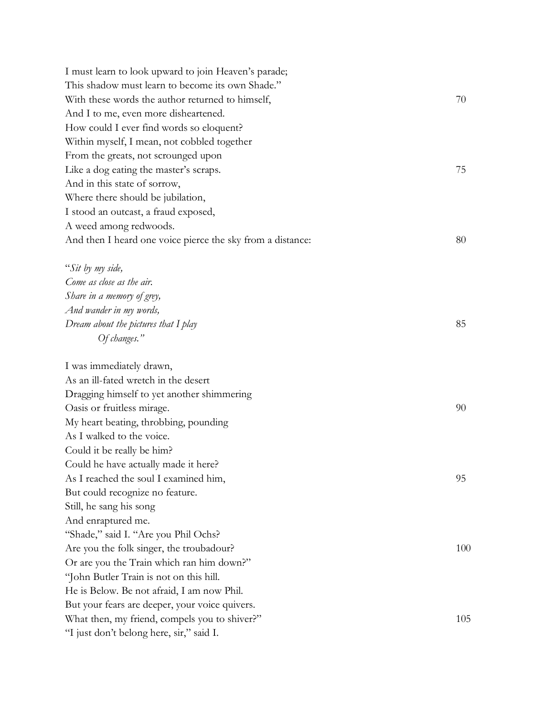| I must learn to look upward to join Heaven's parade;       |     |
|------------------------------------------------------------|-----|
| This shadow must learn to become its own Shade."           |     |
| With these words the author returned to himself,           | 70  |
| And I to me, even more disheartened.                       |     |
| How could I ever find words so eloquent?                   |     |
| Within myself, I mean, not cobbled together                |     |
| From the greats, not scrounged upon                        |     |
| Like a dog eating the master's scraps.                     | 75  |
| And in this state of sorrow,                               |     |
| Where there should be jubilation,                          |     |
| I stood an outcast, a fraud exposed,                       |     |
| A weed among redwoods.                                     |     |
| And then I heard one voice pierce the sky from a distance: | 80  |
| "Sit by my side,                                           |     |
| Come as close as the air.                                  |     |
| Share in a memory of grey,                                 |     |
| And wander in my words,                                    |     |
| Dream about the pictures that I play                       | 85  |
| Of changes."                                               |     |
| I was immediately drawn,                                   |     |
| As an ill-fated wretch in the desert                       |     |
| Dragging himself to yet another shimmering                 |     |
| Oasis or fruitless mirage.                                 | 90  |
| My heart beating, throbbing, pounding                      |     |
| As I walked to the voice.                                  |     |
| Could it be really be him?                                 |     |
| Could he have actually made it here?                       |     |
| As I reached the soul I examined him,                      | 95  |
| But could recognize no feature.                            |     |
| Still, he sang his song                                    |     |
| And enraptured me.                                         |     |
| "Shade," said I. "Are you Phil Ochs?                       |     |
| Are you the folk singer, the troubadour?                   | 100 |
| Or are you the Train which ran him down?"                  |     |
| "John Butler Train is not on this hill.                    |     |
| He is Below. Be not afraid, I am now Phil.                 |     |
| But your fears are deeper, your voice quivers.             |     |
| What then, my friend, compels you to shiver?"              | 105 |
| "I just don't belong here, sir," said I.                   |     |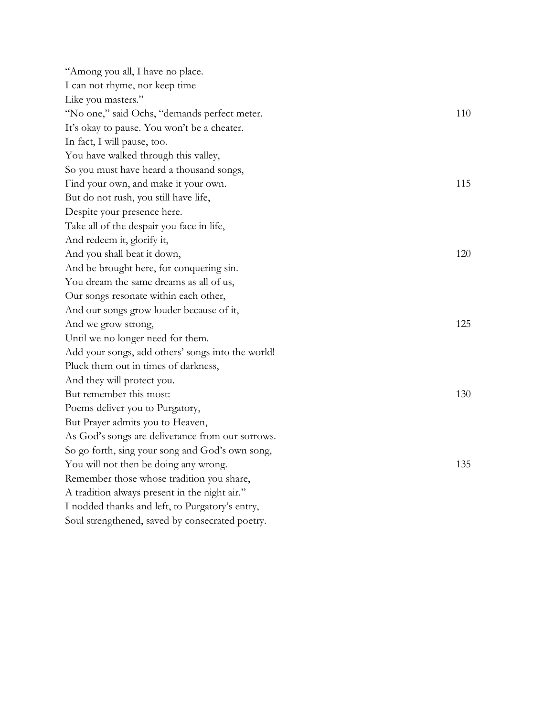| "Among you all, I have no place.                  |     |
|---------------------------------------------------|-----|
| I can not rhyme, nor keep time                    |     |
| Like you masters."                                |     |
| "No one," said Ochs, "demands perfect meter.      | 110 |
| It's okay to pause. You won't be a cheater.       |     |
| In fact, I will pause, too.                       |     |
| You have walked through this valley,              |     |
| So you must have heard a thousand songs,          |     |
| Find your own, and make it your own.              | 115 |
| But do not rush, you still have life,             |     |
| Despite your presence here.                       |     |
| Take all of the despair you face in life,         |     |
| And redeem it, glorify it,                        |     |
| And you shall beat it down,                       | 120 |
| And be brought here, for conquering sin.          |     |
| You dream the same dreams as all of us,           |     |
| Our songs resonate within each other,             |     |
| And our songs grow louder because of it,          |     |
| And we grow strong,                               | 125 |
| Until we no longer need for them.                 |     |
| Add your songs, add others' songs into the world! |     |
| Pluck them out in times of darkness,              |     |
| And they will protect you.                        |     |
| But remember this most:                           | 130 |
| Poems deliver you to Purgatory,                   |     |
| But Prayer admits you to Heaven,                  |     |
| As God's songs are deliverance from our sorrows.  |     |
| So go forth, sing your song and God's own song,   |     |
| You will not then be doing any wrong.             | 135 |
| Remember those whose tradition you share,         |     |
| A tradition always present in the night air."     |     |
| I nodded thanks and left, to Purgatory's entry,   |     |
| Soul strengthened, saved by consecrated poetry.   |     |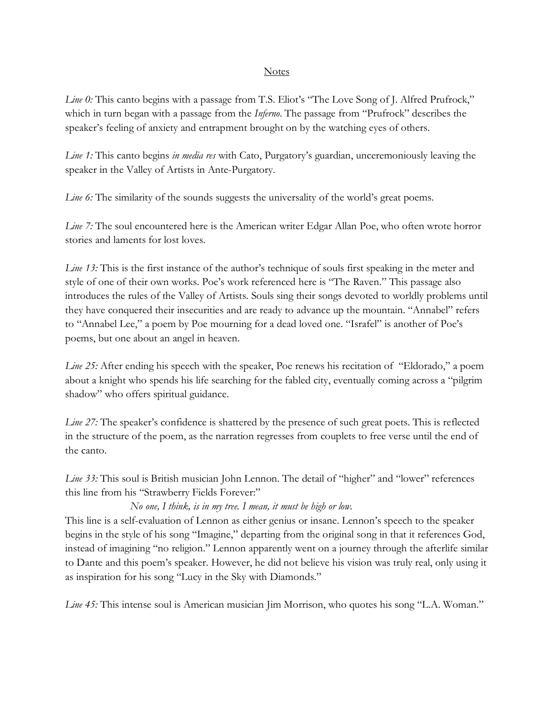## Notes

*Line 0*: This canto begins with a passage from T.S. Eliot's "The Love Song of J. Alfred Prufrock," which in turn began with a passage from the *Inferno*. The passage from "Prufrock" describes the speaker's feeling of anxiety and entrapment brought on by the watching eyes of others.

*Line 1:* This canto begins *in media res* with Cato, Purgatory's guardian, unceremoniously leaving the speaker in the Valley of Artists in Ante-Purgatory.

*Line 6:* The similarity of the sounds suggests the universality of the world's great poems.

*Line 7:* The soul encountered here is the American writer Edgar Allan Poe, who often wrote horror stories and laments for lost loves.

*Line 13*: This is the first instance of the author's technique of souls first speaking in the meter and style of one of their own works. Poe's work referenced here is "The Raven." This passage also introduces the rules of the Valley of Artists. Souls sing their songs devoted to worldly problems until they have conquered their insecurities and are ready to advance up the mountain. "Annabel" refers to "Annabel Lee," a poem by Poe mourning for a dead loved one. "Israfel" is another of Poe's poems, but one about an angel in heaven.

*Line 25:* After ending his speech with the speaker, Poe renews his recitation of "Eldorado," a poem about a knight who spends his life searching for the fabled city, eventually coming across a "pilgrim shadow" who offers spiritual guidance.

*Line 27:* The speaker's confidence is shattered by the presence of such great poets. This is reflected in the structure of the poem, as the narration regresses from couplets to free verse until the end of the canto.

*Line 33:* This soul is British musician John Lennon. The detail of "higher" and "lower" references this line from his "Strawberry Fields Forever:"

## *No one, I think, is in my tree. I mean, it must be high or low.*

This line is a self-evaluation of Lennon as either genius or insane. Lennon's speech to the speaker begins in the style of his song "Imagine," departing from the original song in that it references God, instead of imagining "no religion." Lennon apparently went on a journey through the afterlife similar to Dante and this poem's speaker. However, he did not believe his vision was truly real, only using it as inspiration for his song "Lucy in the Sky with Diamonds."

*Line 45:* This intense soul is American musician Jim Morrison, who quotes his song "L.A. Woman."